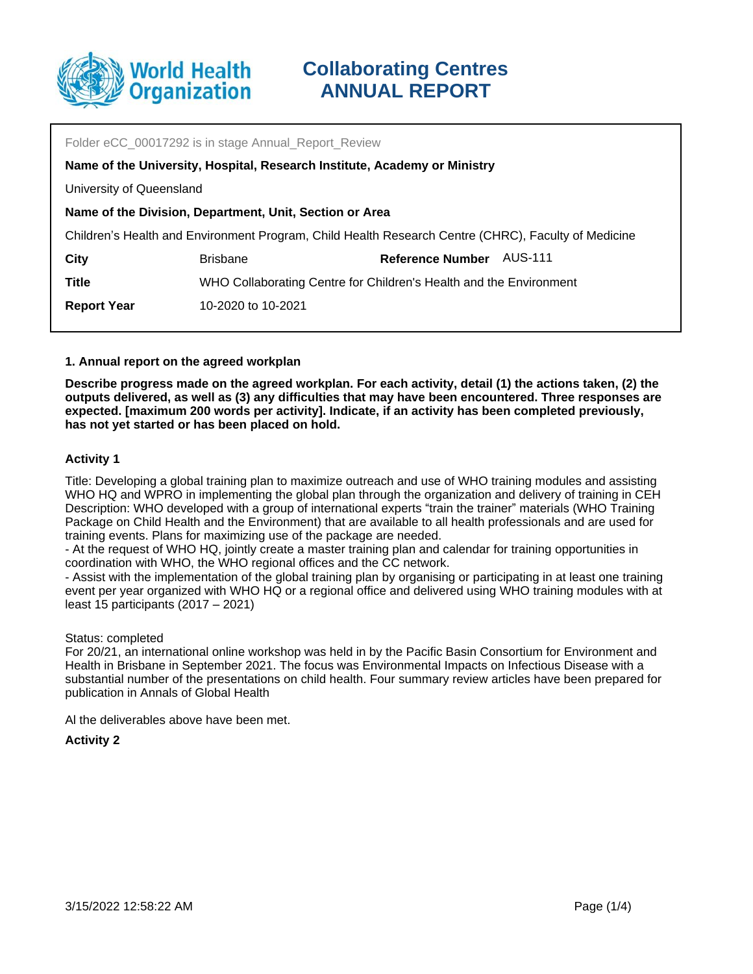

| Folder eCC 00017292 is in stage Annual Report Review                                                |                                                                    |                         |         |  |  |
|-----------------------------------------------------------------------------------------------------|--------------------------------------------------------------------|-------------------------|---------|--|--|
| Name of the University, Hospital, Research Institute, Academy or Ministry                           |                                                                    |                         |         |  |  |
| University of Queensland                                                                            |                                                                    |                         |         |  |  |
| Name of the Division, Department, Unit, Section or Area                                             |                                                                    |                         |         |  |  |
| Children's Health and Environment Program, Child Health Research Centre (CHRC), Faculty of Medicine |                                                                    |                         |         |  |  |
| City                                                                                                | <b>Brisbane</b>                                                    | <b>Reference Number</b> | AUS-111 |  |  |
| <b>Title</b>                                                                                        | WHO Collaborating Centre for Children's Health and the Environment |                         |         |  |  |
| <b>Report Year</b>                                                                                  | 10-2020 to 10-2021                                                 |                         |         |  |  |
|                                                                                                     |                                                                    |                         |         |  |  |

### **1. Annual report on the agreed workplan**

**Describe progress made on the agreed workplan. For each activity, detail (1) the actions taken, (2) the outputs delivered, as well as (3) any difficulties that may have been encountered. Three responses are expected. [maximum 200 words per activity]. Indicate, if an activity has been completed previously, has not yet started or has been placed on hold.**

### **Activity 1**

Title: Developing a global training plan to maximize outreach and use of WHO training modules and assisting WHO HQ and WPRO in implementing the global plan through the organization and delivery of training in CEH Description: WHO developed with a group of international experts "train the trainer" materials (WHO Training Package on Child Health and the Environment) that are available to all health professionals and are used for training events. Plans for maximizing use of the package are needed.

- At the request of WHO HQ, jointly create a master training plan and calendar for training opportunities in coordination with WHO, the WHO regional offices and the CC network.

- Assist with the implementation of the global training plan by organising or participating in at least one training event per year organized with WHO HQ or a regional office and delivered using WHO training modules with at least 15 participants (2017 – 2021)

### Status: completed

For 20/21, an international online workshop was held in by the Pacific Basin Consortium for Environment and Health in Brisbane in September 2021. The focus was Environmental Impacts on Infectious Disease with a substantial number of the presentations on child health. Four summary review articles have been prepared for publication in Annals of Global Health

Al the deliverables above have been met.

### **Activity 2**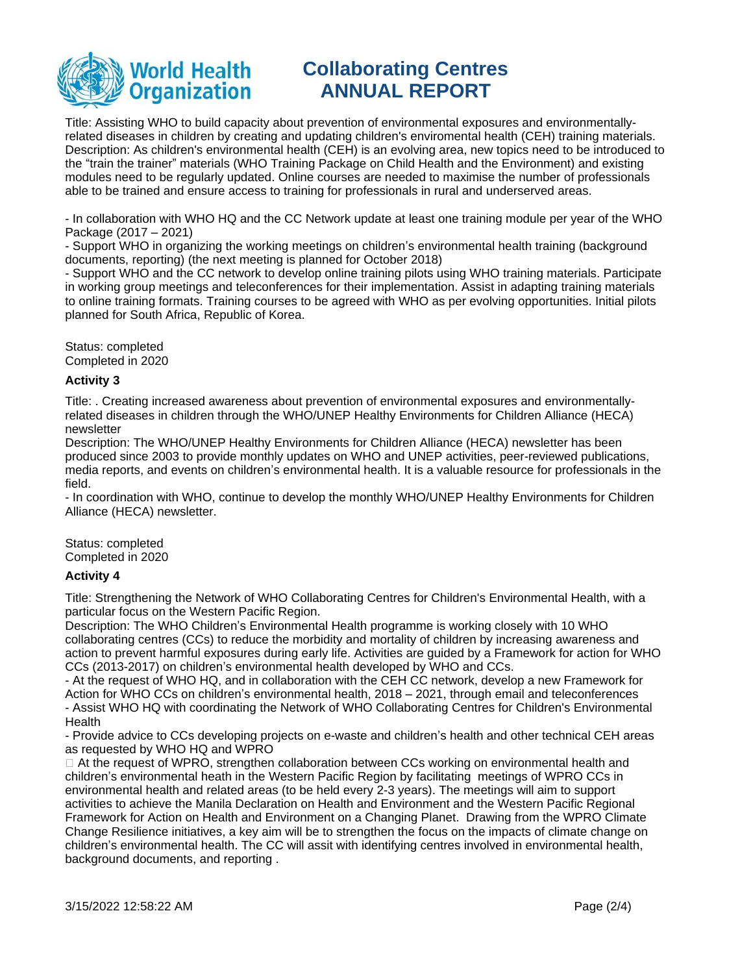

# **Collaborating Centres ANNUAL REPORT**

Title: Assisting WHO to build capacity about prevention of environmental exposures and environmentallyrelated diseases in children by creating and updating children's enviromental health (CEH) training materials. Description: As children's environmental health (CEH) is an evolving area, new topics need to be introduced to the "train the trainer" materials (WHO Training Package on Child Health and the Environment) and existing modules need to be regularly updated. Online courses are needed to maximise the number of professionals able to be trained and ensure access to training for professionals in rural and underserved areas.

- In collaboration with WHO HQ and the CC Network update at least one training module per year of the WHO Package (2017 – 2021)

- Support WHO in organizing the working meetings on children's environmental health training (background documents, reporting) (the next meeting is planned for October 2018)

- Support WHO and the CC network to develop online training pilots using WHO training materials. Participate in working group meetings and teleconferences for their implementation. Assist in adapting training materials to online training formats. Training courses to be agreed with WHO as per evolving opportunities. Initial pilots planned for South Africa, Republic of Korea.

Status: completed Completed in 2020

#### **Activity 3**

Title: . Creating increased awareness about prevention of environmental exposures and environmentallyrelated diseases in children through the WHO/UNEP Healthy Environments for Children Alliance (HECA) newsletter

Description: The WHO/UNEP Healthy Environments for Children Alliance (HECA) newsletter has been produced since 2003 to provide monthly updates on WHO and UNEP activities, peer-reviewed publications, media reports, and events on children's environmental health. It is a valuable resource for professionals in the field.

- In coordination with WHO, continue to develop the monthly WHO/UNEP Healthy Environments for Children Alliance (HECA) newsletter.

Status: completed Completed in 2020

### **Activity 4**

Title: Strengthening the Network of WHO Collaborating Centres for Children's Environmental Health, with a particular focus on the Western Pacific Region.

Description: The WHO Children's Environmental Health programme is working closely with 10 WHO collaborating centres (CCs) to reduce the morbidity and mortality of children by increasing awareness and action to prevent harmful exposures during early life. Activities are guided by a Framework for action for WHO CCs (2013-2017) on children's environmental health developed by WHO and CCs.

- At the request of WHO HQ, and in collaboration with the CEH CC network, develop a new Framework for Action for WHO CCs on children's environmental health, 2018 – 2021, through email and teleconferences - Assist WHO HQ with coordinating the Network of WHO Collaborating Centres for Children's Environmental **Health** 

- Provide advice to CCs developing projects on e-waste and children's health and other technical CEH areas as requested by WHO HQ and WPRO

 $\Box$  At the request of WPRO, strengthen collaboration between CCs working on environmental health and children's environmental heath in the Western Pacific Region by facilitating meetings of WPRO CCs in environmental health and related areas (to be held every 2-3 years). The meetings will aim to support activities to achieve the Manila Declaration on Health and Environment and the Western Pacific Regional Framework for Action on Health and Environment on a Changing Planet. Drawing from the WPRO Climate Change Resilience initiatives, a key aim will be to strengthen the focus on the impacts of climate change on children's environmental health. The CC will assit with identifying centres involved in environmental health, background documents, and reporting .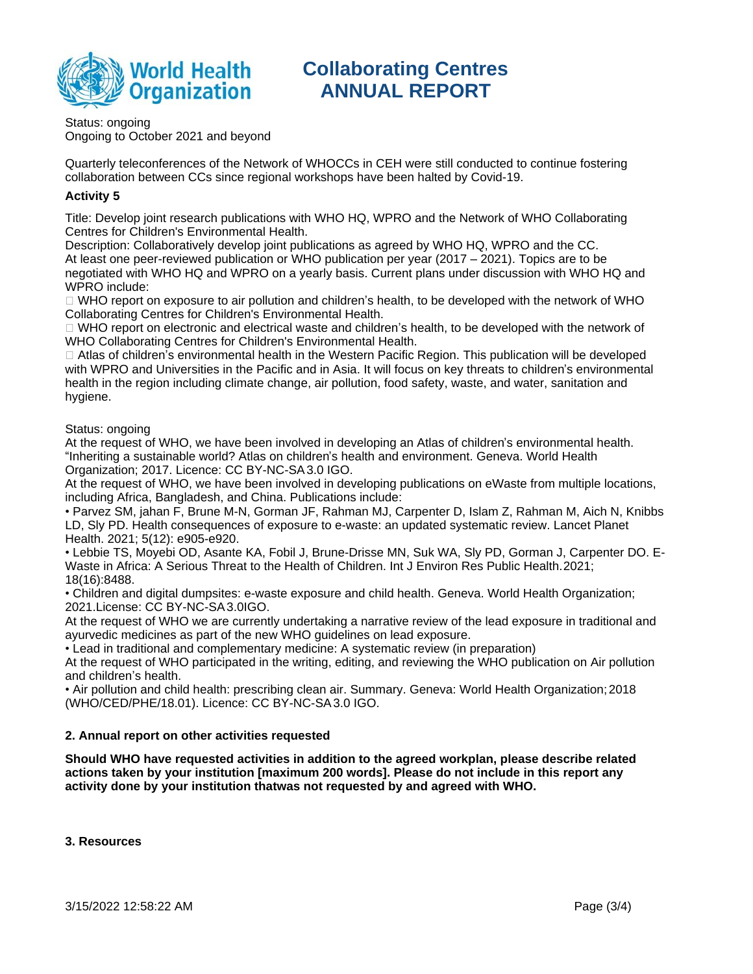

# **Collaborating Centres ANNUAL REPORT**

Status: ongoing Ongoing to October 2021 and beyond

Quarterly teleconferences of the Network of WHOCCs in CEH were still conducted to continue fostering collaboration between CCs since regional workshops have been halted by Covid-19.

# **Activity 5**

Title: Develop joint research publications with WHO HQ, WPRO and the Network of WHO Collaborating Centres for Children's Environmental Health.

Description: Collaboratively develop joint publications as agreed by WHO HQ, WPRO and the CC. At least one peer-reviewed publication or WHO publication per year (2017 – 2021). Topics are to be negotiated with WHO HQ and WPRO on a yearly basis. Current plans under discussion with WHO HQ and WPRO include:

 WHO report on exposure to air pollution and children's health, to be developed with the network of WHO Collaborating Centres for Children's Environmental Health.

□ WHO report on electronic and electrical waste and children's health, to be developed with the network of WHO Collaborating Centres for Children's Environmental Health.

 Atlas of children's environmental health in the Western Pacific Region. This publication will be developed with WPRO and Universities in the Pacific and in Asia. It will focus on key threats to children's environmental health in the region including climate change, air pollution, food safety, waste, and water, sanitation and hygiene.

## Status: ongoing

At the request of WHO, we have been involved in developing an Atlas of children's environmental health. "Inheriting a sustainable world? Atlas on children's health and environment. Geneva. World Health Organization; 2017. Licence: CC BY-NC-SA 3.0 IGO.

At the request of WHO, we have been involved in developing publications on eWaste from multiple locations, including Africa, Bangladesh, and China. Publications include:

• Parvez SM, jahan F, Brune M-N, Gorman JF, Rahman MJ, Carpenter D, Islam Z, Rahman M, Aich N, Knibbs LD, Sly PD. Health consequences of exposure to e-waste: an updated systematic review. Lancet Planet Health. 2021; 5(12): e905-e920.

• Lebbie TS, Moyebi OD, Asante KA, Fobil J, Brune-Drisse MN, Suk WA, Sly PD, Gorman J, Carpenter DO. E-Waste in Africa: A Serious Threat to the Health of Children. Int J Environ Res Public Health. 2021; 18(16):8488.

• Children and digital dumpsites: e-waste exposure and child health. Geneva. World Health Organization; 2021.License: CC BY-NC-SA 3.0IGO.

At the request of WHO we are currently undertaking a narrative review of the lead exposure in traditional and ayurvedic medicines as part of the new WHO guidelines on lead exposure.

• Lead in traditional and complementary medicine: A systematic review (in preparation)

At the request of WHO participated in the writing, editing, and reviewing the WHO publication on Air pollution and children's health.

• Air pollution and child health: prescribing clean air. Summary. Geneva: World Health Organization; 2018 (WHO/CED/PHE/18.01). Licence: CC BY-NC-SA 3.0 IGO.

# **2. Annual report on other activities requested**

**Should WHO have requested activities in addition to the agreed workplan, please describe related actions taken by your institution [maximum 200 words]. Please do not include in this report any activity done by your institution thatwas not requested by and agreed with WHO.**

### **3. Resources**